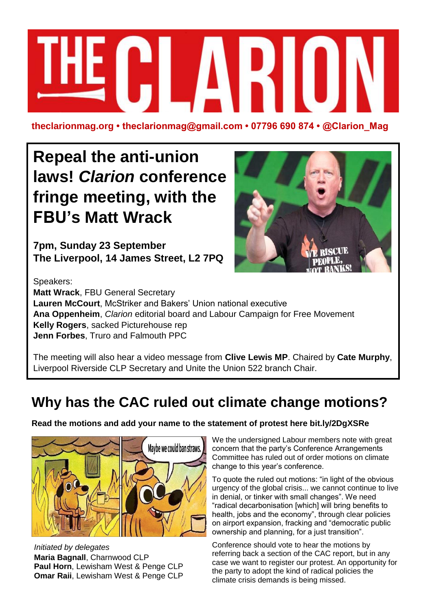

**theclarionmag.org • theclarionmag@gmail.com • 07796 690 874 • @Clarion\_Mag**

# **Repeal the anti-union laws!** *Clarion* **conference fringe meeting, with the FBU's Matt Wrack**

**7pm, Sunday 23 September The Liverpool, 14 James Street, L2 7PQ**



Speakers: **Matt Wrack**, FBU General Secretary **Lauren McCourt**, McStriker and Bakers' Union national executive **Ana Oppenheim**, *Clarion* editorial board and Labour Campaign for Free Movement **Kelly Rogers**, sacked Picturehouse rep **Jenn Forbes**, Truro and Falmouth PPC

The meeting will also hear a video message from **Clive Lewis MP**. Chaired by **Cate Murphy**, Liverpool Riverside CLP Secretary and Unite the Union 522 branch Chair.

### **Why has the CAC ruled out climate change motions?**

**Read the motions and add your name to the statement of protest here bit.ly/2DgXSRe**



*Initiated by delegates* **Maria Bagnall**, Charnwood CLP **Paul Horn**, Lewisham West & Penge CLP **Omar Raii**, Lewisham West & Penge CLP We the undersigned Labour members note with great concern that the party's Conference Arrangements Committee has ruled out of order motions on climate change to this year's conference.

To quote the ruled out motions: "in light of the obvious urgency of the global crisis... we cannot continue to live in denial, or tinker with small changes". We need "radical decarbonisation [which] will bring benefits to health, jobs and the economy", through clear policies on airport expansion, fracking and "democratic public ownership and planning, for a just transition".

Conference should vote to hear the motions by referring back a section of the CAC report, but in any case we want to register our protest. An opportunity for the party to adopt the kind of radical policies the climate crisis demands is being missed.